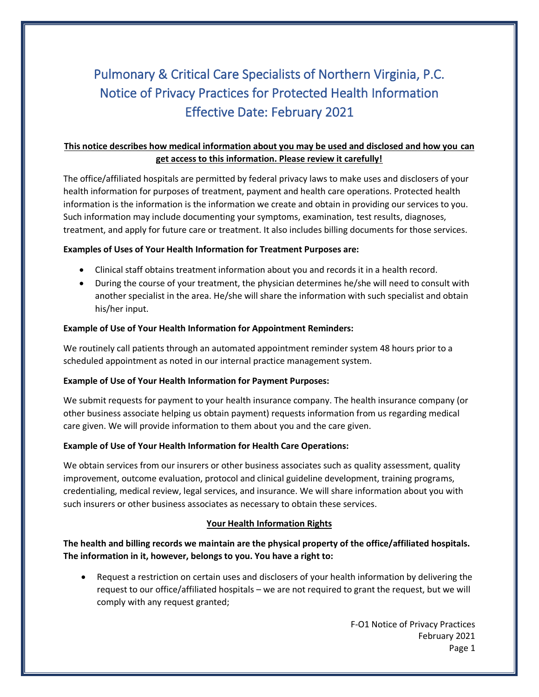# Pulmonary & Critical Care Specialists of Northern Virginia, P.C. Notice of Privacy Practices for Protected Health Information Effective Date: February 2021

## **This notice describes how medical information about you may be used and disclosed and how you can get access to this information. Please review it carefully!**

The office/affiliated hospitals are permitted by federal privacy laws to make uses and disclosers of your health information for purposes of treatment, payment and health care operations. Protected health information is the information is the information we create and obtain in providing our services to you. Such information may include documenting your symptoms, examination, test results, diagnoses, treatment, and apply for future care or treatment. It also includes billing documents for those services.

## **Examples of Uses of Your Health Information for Treatment Purposes are:**

- Clinical staff obtains treatment information about you and records it in a health record.
- During the course of your treatment, the physician determines he/she will need to consult with another specialist in the area. He/she will share the information with such specialist and obtain his/her input.

## **Example of Use of Your Health Information for Appointment Reminders:**

We routinely call patients through an automated appointment reminder system 48 hours prior to a scheduled appointment as noted in our internal practice management system.

## **Example of Use of Your Health Information for Payment Purposes:**

We submit requests for payment to your health insurance company. The health insurance company (or other business associate helping us obtain payment) requests information from us regarding medical care given. We will provide information to them about you and the care given.

## **Example of Use of Your Health Information for Health Care Operations:**

We obtain services from our insurers or other business associates such as quality assessment, quality improvement, outcome evaluation, protocol and clinical guideline development, training programs, credentialing, medical review, legal services, and insurance. We will share information about you with such insurers or other business associates as necessary to obtain these services.

## **Your Health Information Rights**

**The health and billing records we maintain are the physical property of the office/affiliated hospitals. The information in it, however, belongs to you. You have a right to:**

• Request a restriction on certain uses and disclosers of your health information by delivering the request to our office/affiliated hospitals – we are not required to grant the request, but we will comply with any request granted;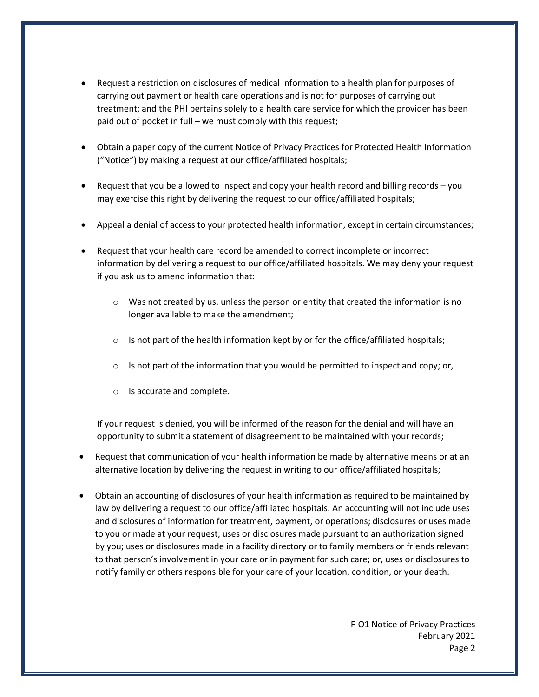- Request a restriction on disclosures of medical information to a health plan for purposes of carrying out payment or health care operations and is not for purposes of carrying out treatment; and the PHI pertains solely to a health care service for which the provider has been paid out of pocket in full – we must comply with this request;
- Obtain a paper copy of the current Notice of Privacy Practices for Protected Health Information ("Notice") by making a request at our office/affiliated hospitals;
- Request that you be allowed to inspect and copy your health record and billing records you may exercise this right by delivering the request to our office/affiliated hospitals;
- Appeal a denial of access to your protected health information, except in certain circumstances;
- Request that your health care record be amended to correct incomplete or incorrect information by delivering a request to our office/affiliated hospitals. We may deny your request if you ask us to amend information that:
	- $\circ$  Was not created by us, unless the person or entity that created the information is no longer available to make the amendment;
	- $\circ$  Is not part of the health information kept by or for the office/affiliated hospitals;
	- $\circ$  Is not part of the information that you would be permitted to inspect and copy; or,
	- o Is accurate and complete.

If your request is denied, you will be informed of the reason for the denial and will have an opportunity to submit a statement of disagreement to be maintained with your records;

- Request that communication of your health information be made by alternative means or at an alternative location by delivering the request in writing to our office/affiliated hospitals;
- Obtain an accounting of disclosures of your health information as required to be maintained by law by delivering a request to our office/affiliated hospitals. An accounting will not include uses and disclosures of information for treatment, payment, or operations; disclosures or uses made to you or made at your request; uses or disclosures made pursuant to an authorization signed by you; uses or disclosures made in a facility directory or to family members or friends relevant to that person's involvement in your care or in payment for such care; or, uses or disclosures to notify family or others responsible for your care of your location, condition, or your death.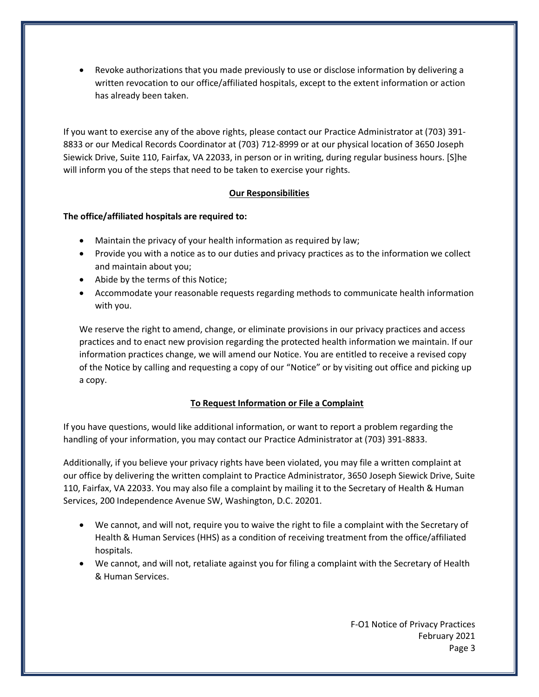• Revoke authorizations that you made previously to use or disclose information by delivering a written revocation to our office/affiliated hospitals, except to the extent information or action has already been taken.

If you want to exercise any of the above rights, please contact our Practice Administrator at (703) 391- 8833 or our Medical Records Coordinator at (703) 712-8999 or at our physical location of 3650 Joseph Siewick Drive, Suite 110, Fairfax, VA 22033, in person or in writing, during regular business hours. [S]he will inform you of the steps that need to be taken to exercise your rights.

## **Our Responsibilities**

## **The office/affiliated hospitals are required to:**

- Maintain the privacy of your health information as required by law;
- Provide you with a notice as to our duties and privacy practices as to the information we collect and maintain about you;
- Abide by the terms of this Notice;
- Accommodate your reasonable requests regarding methods to communicate health information with you.

We reserve the right to amend, change, or eliminate provisions in our privacy practices and access practices and to enact new provision regarding the protected health information we maintain. If our information practices change, we will amend our Notice. You are entitled to receive a revised copy of the Notice by calling and requesting a copy of our "Notice" or by visiting out office and picking up a copy.

## **To Request Information or File a Complaint**

If you have questions, would like additional information, or want to report a problem regarding the handling of your information, you may contact our Practice Administrator at (703) 391-8833.

Additionally, if you believe your privacy rights have been violated, you may file a written complaint at our office by delivering the written complaint to Practice Administrator, 3650 Joseph Siewick Drive, Suite 110, Fairfax, VA 22033. You may also file a complaint by mailing it to the Secretary of Health & Human Services, 200 Independence Avenue SW, Washington, D.C. 20201.

- We cannot, and will not, require you to waive the right to file a complaint with the Secretary of Health & Human Services (HHS) as a condition of receiving treatment from the office/affiliated hospitals.
- We cannot, and will not, retaliate against you for filing a complaint with the Secretary of Health & Human Services.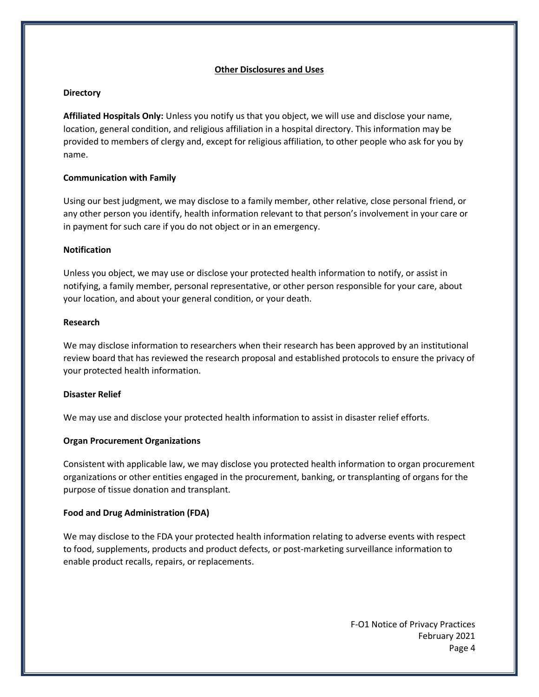#### **Other Disclosures and Uses**

#### **Directory**

**Affiliated Hospitals Only:** Unless you notify us that you object, we will use and disclose your name, location, general condition, and religious affiliation in a hospital directory. This information may be provided to members of clergy and, except for religious affiliation, to other people who ask for you by name.

#### **Communication with Family**

Using our best judgment, we may disclose to a family member, other relative, close personal friend, or any other person you identify, health information relevant to that person's involvement in your care or in payment for such care if you do not object or in an emergency.

#### **Notification**

Unless you object, we may use or disclose your protected health information to notify, or assist in notifying, a family member, personal representative, or other person responsible for your care, about your location, and about your general condition, or your death.

#### **Research**

We may disclose information to researchers when their research has been approved by an institutional review board that has reviewed the research proposal and established protocols to ensure the privacy of your protected health information.

#### **Disaster Relief**

We may use and disclose your protected health information to assist in disaster relief efforts.

## **Organ Procurement Organizations**

Consistent with applicable law, we may disclose you protected health information to organ procurement organizations or other entities engaged in the procurement, banking, or transplanting of organs for the purpose of tissue donation and transplant.

#### **Food and Drug Administration (FDA)**

We may disclose to the FDA your protected health information relating to adverse events with respect to food, supplements, products and product defects, or post-marketing surveillance information to enable product recalls, repairs, or replacements.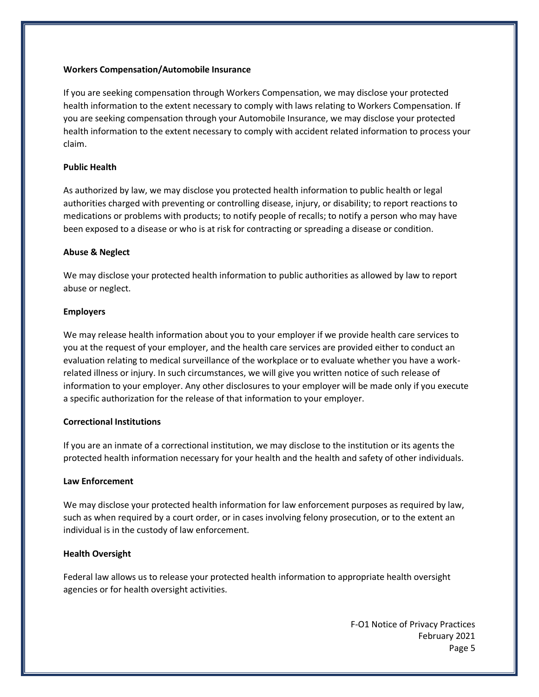#### **Workers Compensation/Automobile Insurance**

If you are seeking compensation through Workers Compensation, we may disclose your protected health information to the extent necessary to comply with laws relating to Workers Compensation. If you are seeking compensation through your Automobile Insurance, we may disclose your protected health information to the extent necessary to comply with accident related information to process your claim.

### **Public Health**

As authorized by law, we may disclose you protected health information to public health or legal authorities charged with preventing or controlling disease, injury, or disability; to report reactions to medications or problems with products; to notify people of recalls; to notify a person who may have been exposed to a disease or who is at risk for contracting or spreading a disease or condition.

#### **Abuse & Neglect**

We may disclose your protected health information to public authorities as allowed by law to report abuse or neglect.

#### **Employers**

We may release health information about you to your employer if we provide health care services to you at the request of your employer, and the health care services are provided either to conduct an evaluation relating to medical surveillance of the workplace or to evaluate whether you have a workrelated illness or injury. In such circumstances, we will give you written notice of such release of information to your employer. Any other disclosures to your employer will be made only if you execute a specific authorization for the release of that information to your employer.

#### **Correctional Institutions**

If you are an inmate of a correctional institution, we may disclose to the institution or its agents the protected health information necessary for your health and the health and safety of other individuals.

## **Law Enforcement**

We may disclose your protected health information for law enforcement purposes as required by law, such as when required by a court order, or in cases involving felony prosecution, or to the extent an individual is in the custody of law enforcement.

#### **Health Oversight**

Federal law allows us to release your protected health information to appropriate health oversight agencies or for health oversight activities.